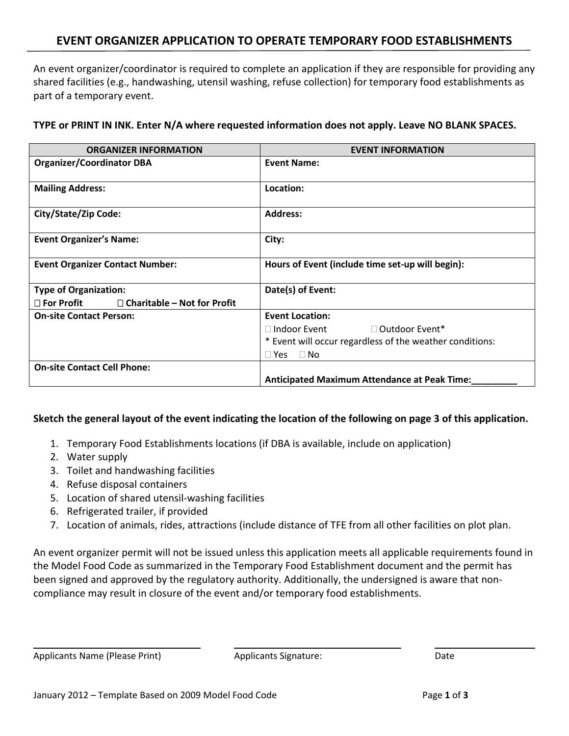## **EVENT ORGANIZER APPLICATION TO OPERATE TEMPORARY FOOD ESTABLISHMENTS**

An event organizer/coordinator is required to complete an application if they are responsible for providing any shared facilities (e.g., handwashing, utensil washing, refuse collection) for temporary food establishments as part of a temporary event.

**TYPE or PRINT IN INK. Enter N/A where requested information does not apply. Leave NO BLANK SPACES.**

| <b>ORGANIZER INFORMATION</b>                               | <b>EVENT INFORMATION</b>                                 |  |
|------------------------------------------------------------|----------------------------------------------------------|--|
| <b>Organizer/Coordinator DBA</b>                           | <b>Event Name:</b>                                       |  |
| <b>Mailing Address:</b>                                    | Location:                                                |  |
| City/State/Zip Code:                                       | <b>Address:</b>                                          |  |
| <b>Event Organizer's Name:</b>                             | City:                                                    |  |
| <b>Event Organizer Contact Number:</b>                     | Hours of Event (include time set-up will begin):         |  |
| <b>Type of Organization:</b>                               | Date(s) of Event:                                        |  |
| $\square$ For Profit<br>$\Box$ Charitable – Not for Profit |                                                          |  |
| <b>On-site Contact Person:</b>                             | <b>Event Location:</b>                                   |  |
|                                                            | □ Outdoor Event*<br>$\Box$ Indoor Event                  |  |
|                                                            | * Event will occur regardless of the weather conditions: |  |
|                                                            | $\Box$ Yes $\Box$ No                                     |  |
| <b>On-site Contact Cell Phone:</b>                         |                                                          |  |
|                                                            | <b>Anticipated Maximum Attendance at Peak Time:</b>      |  |

## **Sketch the general layout of the event indicating the location of the following on page 3 of this application.**

- 1. Temporary Food Establishments locations (if DBA is available, include on application)
- 2. Water supply
- 3. Toilet and handwashing facilities
- 4. Refuse disposal containers
- 5. Location of shared utensil-washing facilities
- 6. Refrigerated trailer, if provided
- 7. Location of animals, rides, attractions (include distance of TFE from all other facilities on plot plan.

An event organizer permit will not be issued unless this application meets all applicable requirements found in the Model Food Code as summarized in the Temporary Food Establishment document and the permit has been signed and approved by the regulatory authority. Additionally, the undersigned is aware that noncompliance may result in closure of the event and/or temporary food establishments.

Applicants Name (Please Print) Applicants Signature: Applicants Signature: Date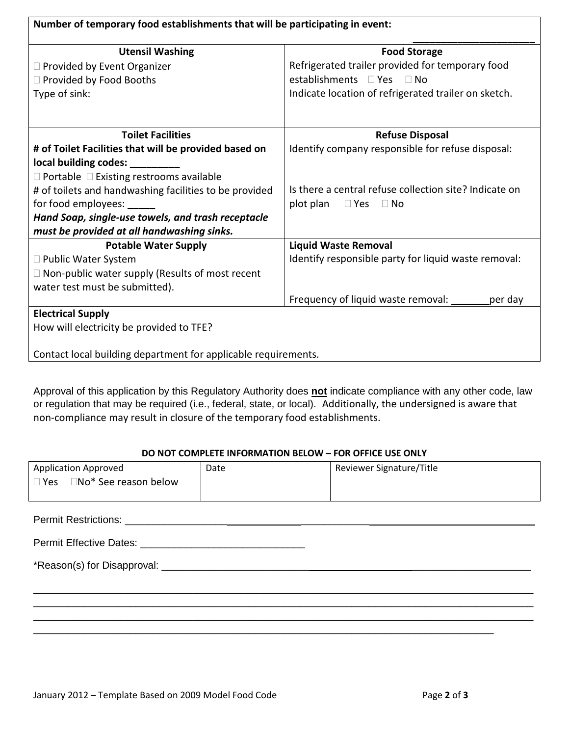| Number of temporary food establishments that will be participating in event: |                                                        |  |
|------------------------------------------------------------------------------|--------------------------------------------------------|--|
| <b>Utensil Washing</b>                                                       | <b>Food Storage</b>                                    |  |
| □ Provided by Event Organizer                                                | Refrigerated trailer provided for temporary food       |  |
| □ Provided by Food Booths                                                    | establishments □ Yes □ No                              |  |
| Type of sink:                                                                | Indicate location of refrigerated trailer on sketch.   |  |
| <b>Toilet Facilities</b>                                                     | <b>Refuse Disposal</b>                                 |  |
| # of Toilet Facilities that will be provided based on                        | Identify company responsible for refuse disposal:      |  |
| local building codes: ________                                               |                                                        |  |
| $\Box$ Portable $\Box$ Existing restrooms available                          |                                                        |  |
| # of toilets and handwashing facilities to be provided                       | Is there a central refuse collection site? Indicate on |  |
| for food employees: _____                                                    | plot plan<br>$\Box$ Yes $\Box$ No                      |  |
| Hand Soap, single-use towels, and trash receptacle                           |                                                        |  |
| must be provided at all handwashing sinks.                                   |                                                        |  |
| <b>Potable Water Supply</b>                                                  | <b>Liquid Waste Removal</b>                            |  |
| □ Public Water System                                                        | Identify responsible party for liquid waste removal:   |  |
| $\Box$ Non-public water supply (Results of most recent                       |                                                        |  |
| water test must be submitted).                                               |                                                        |  |
|                                                                              | Frequency of liquid waste removal:<br>per day          |  |
| <b>Electrical Supply</b>                                                     |                                                        |  |
| How will electricity be provided to TFE?                                     |                                                        |  |
|                                                                              |                                                        |  |
| Contact local building department for applicable requirements.               |                                                        |  |

Approval of this application by this Regulatory Authority does **not** indicate compliance with any other code, law or regulation that may be required (i.e., federal, state, or local). Additionally, the undersigned is aware that non-compliance may result in closure of the temporary food establishments.

## **DO NOT COMPLETE INFORMATION BELOW – FOR OFFICE USE ONLY**

| <b>Application Approved</b>            | Date | Reviewer Signature/Title |
|----------------------------------------|------|--------------------------|
| $\Box$ Yes $\Box$ No* See reason below |      |                          |
|                                        |      |                          |
|                                        |      |                          |
|                                        |      |                          |
|                                        |      |                          |
|                                        |      |                          |
|                                        |      |                          |
|                                        |      |                          |
|                                        |      |                          |
|                                        |      |                          |
|                                        |      |                          |
|                                        |      |                          |